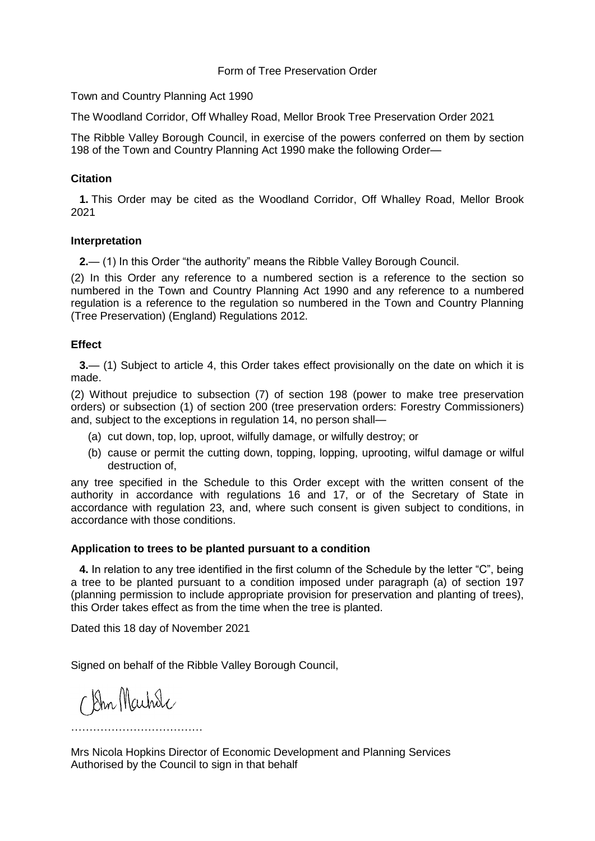#### Form of Tree Preservation Order

Town and Country Planning Act 1990

The Woodland Corridor, Off Whalley Road, Mellor Brook Tree Preservation Order 2021

The Ribble Valley Borough Council, in exercise of the powers conferred on them by section 198 of the Town and Country Planning Act 1990 make the following Order—

#### **Citation**

**1.** This Order may be cited as the Woodland Corridor, Off Whalley Road, Mellor Brook 2021

#### **Interpretation**

**2.**— (1) In this Order "the authority" means the Ribble Valley Borough Council.

(2) In this Order any reference to a numbered section is a reference to the section so numbered in the Town and Country Planning Act 1990 and any reference to a numbered regulation is a reference to the regulation so numbered in the Town and Country Planning (Tree Preservation) (England) Regulations 2012.

#### **Effect**

**3.**— (1) Subject to article 4, this Order takes effect provisionally on the date on which it is made.

(2) Without prejudice to subsection (7) of section 198 (power to make tree preservation orders) or subsection (1) of section 200 (tree preservation orders: Forestry Commissioners) and, subject to the exceptions in regulation 14, no person shall—

- (a) cut down, top, lop, uproot, wilfully damage, or wilfully destroy; or
- (b) cause or permit the cutting down, topping, lopping, uprooting, wilful damage or wilful destruction of,

any tree specified in the Schedule to this Order except with the written consent of the authority in accordance with regulations 16 and 17, or of the Secretary of State in accordance with regulation 23, and, where such consent is given subject to conditions, in accordance with those conditions.

#### **Application to trees to be planted pursuant to a condition**

**4.** In relation to any tree identified in the first column of the Schedule by the letter "C", being a tree to be planted pursuant to a condition imposed under paragraph (a) of section 197 (planning permission to include appropriate provision for preservation and planting of trees), this Order takes effect as from the time when the tree is planted.

Dated this 18 day of November 2021

Signed on behalf of the Ribble Valley Borough Council,

C Din Machde

………………………………

Mrs Nicola Hopkins Director of Economic Development and Planning Services Authorised by the Council to sign in that behalf